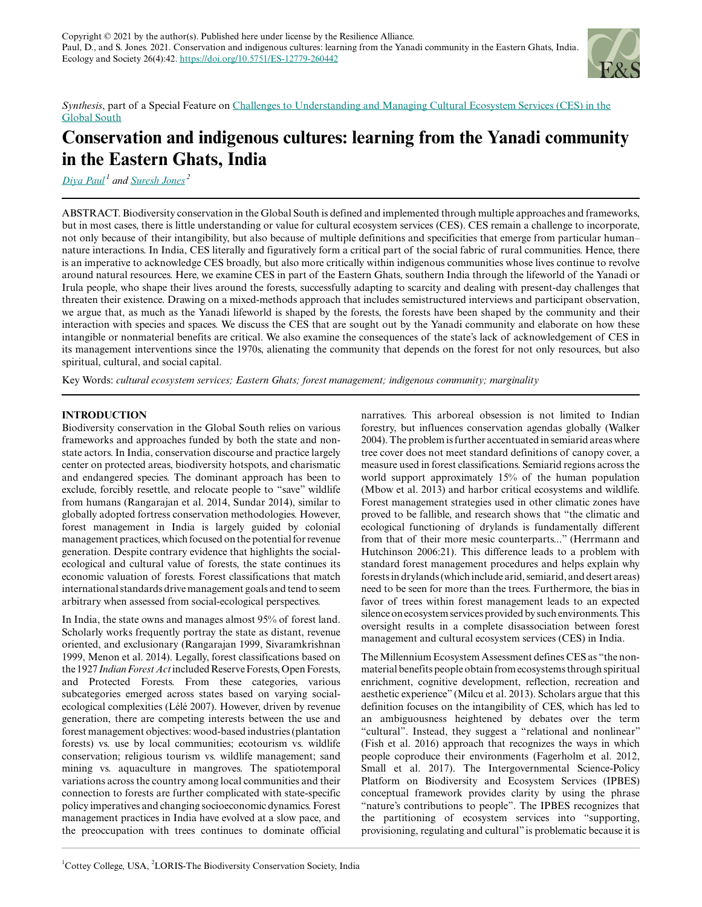

*Synthesis*, part of a Special Feature on [Challenges to Understanding and Managing Cultural Ecosystem Services \(CES\) in the](https://www.ecologyandsociety.org/viewissue.php?sf=147) [Global South](https://www.ecologyandsociety.org/viewissue.php?sf=147)

# **Conservation and indigenous cultures: learning from the Yanadi community in the Eastern Ghats, India**

*[Diya Paul](mailto:diya.paul@gmail.com)<sup>1</sup> and [Suresh Jones](mailto:sureshjones07@gmail.com)<sup>2</sup>*

ABSTRACT. Biodiversity conservation in the Global South is defined and implemented through multiple approaches and frameworks, but in most cases, there is little understanding or value for cultural ecosystem services (CES). CES remain a challenge to incorporate, not only because of their intangibility, but also because of multiple definitions and specificities that emerge from particular human– nature interactions. In India, CES literally and figuratively form a critical part of the social fabric of rural communities. Hence, there is an imperative to acknowledge CES broadly, but also more critically within indigenous communities whose lives continue to revolve around natural resources. Here, we examine CES in part of the Eastern Ghats, southern India through the lifeworld of the Yanadi or Irula people, who shape their lives around the forests, successfully adapting to scarcity and dealing with present-day challenges that threaten their existence. Drawing on a mixed-methods approach that includes semistructured interviews and participant observation, we argue that, as much as the Yanadi lifeworld is shaped by the forests, the forests have been shaped by the community and their interaction with species and spaces. We discuss the CES that are sought out by the Yanadi community and elaborate on how these intangible or nonmaterial benefits are critical. We also examine the consequences of the state's lack of acknowledgement of CES in its management interventions since the 1970s, alienating the community that depends on the forest for not only resources, but also spiritual, cultural, and social capital.

Key Words: *cultural ecosystem services; Eastern Ghats; forest management; indigenous community; marginality*

# **INTRODUCTION**

Biodiversity conservation in the Global South relies on various frameworks and approaches funded by both the state and nonstate actors. In India, conservation discourse and practice largely center on protected areas, biodiversity hotspots, and charismatic and endangered species. The dominant approach has been to exclude, forcibly resettle, and relocate people to "save" wildlife from humans (Rangarajan et al. 2014, Sundar 2014), similar to globally adopted fortress conservation methodologies. However, forest management in India is largely guided by colonial management practices, which focused on the potential for revenue generation. Despite contrary evidence that highlights the socialecological and cultural value of forests, the state continues its economic valuation of forests. Forest classifications that match international standards drive management goals and tend to seem arbitrary when assessed from social-ecological perspectives.

In India, the state owns and manages almost 95% of forest land. Scholarly works frequently portray the state as distant, revenue oriented, and exclusionary (Rangarajan 1999, Sivaramkrishnan 1999, Menon et al. 2014). Legally, forest classifications based on the 1927 *Indian Forest Act* included Reserve Forests, Open Forests, and Protected Forests. From these categories, various subcategories emerged across states based on varying socialecological complexities (Lélé 2007). However, driven by revenue generation, there are competing interests between the use and forest management objectives: wood-based industries (plantation forests) vs. use by local communities; ecotourism vs. wildlife conservation; religious tourism vs. wildlife management; sand mining vs. aquaculture in mangroves. The spatiotemporal variations across the country among local communities and their connection to forests are further complicated with state-specific policy imperatives and changing socioeconomic dynamics. Forest management practices in India have evolved at a slow pace, and the preoccupation with trees continues to dominate official

narratives. This arboreal obsession is not limited to Indian forestry, but influences conservation agendas globally (Walker 2004). The problem is further accentuated in semiarid areas where tree cover does not meet standard definitions of canopy cover, a measure used in forest classifications. Semiarid regions across the world support approximately 15% of the human population (Mbow et al. 2013) and harbor critical ecosystems and wildlife. Forest management strategies used in other climatic zones have proved to be fallible, and research shows that "the climatic and ecological functioning of drylands is fundamentally different from that of their more mesic counterparts..." (Herrmann and Hutchinson 2006:21). This difference leads to a problem with standard forest management procedures and helps explain why forests in drylands (which include arid, semiarid, and desert areas) need to be seen for more than the trees. Furthermore, the bias in favor of trees within forest management leads to an expected silence on ecosystem services provided by such environments. This oversight results in a complete disassociation between forest management and cultural ecosystem services (CES) in India.

The Millennium Ecosystem Assessment defines CES as "the nonmaterial benefits people obtain from ecosystems through spiritual enrichment, cognitive development, reflection, recreation and aesthetic experience" (Milcu et al. 2013). Scholars argue that this definition focuses on the intangibility of CES, which has led to an ambiguousness heightened by debates over the term "cultural". Instead, they suggest a "relational and nonlinear" (Fish et al. 2016) approach that recognizes the ways in which people coproduce their environments (Fagerholm et al. 2012, Small et al. 2017). The Intergovernmental Science-Policy Platform on Biodiversity and Ecosystem Services (IPBES) conceptual framework provides clarity by using the phrase "nature's contributions to people". The IPBES recognizes that the partitioning of ecosystem services into "supporting, provisioning, regulating and cultural" is problematic because it is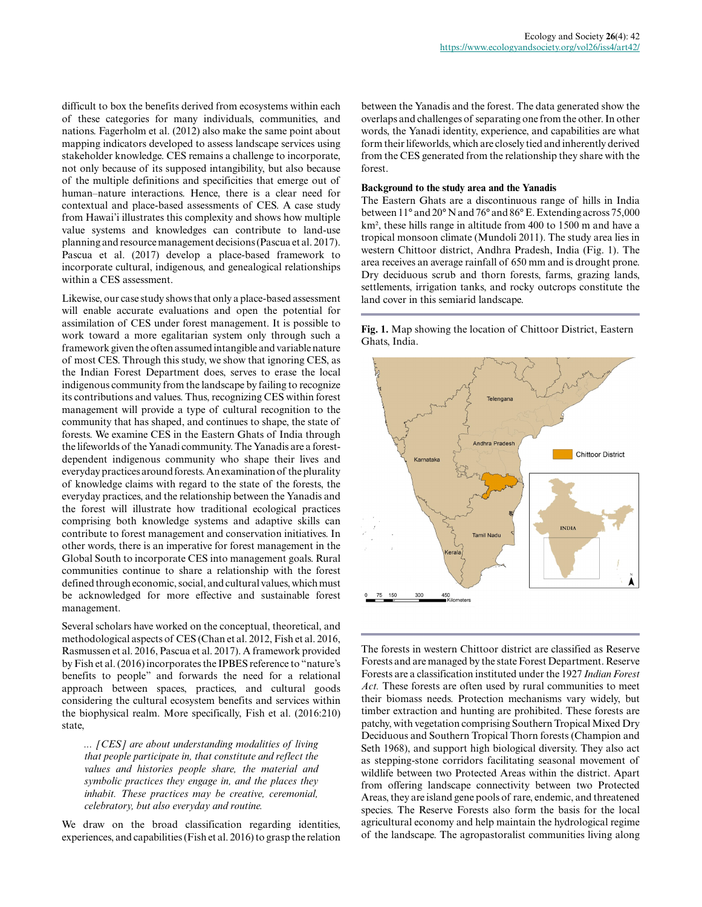difficult to box the benefits derived from ecosystems within each of these categories for many individuals, communities, and nations. Fagerholm et al. (2012) also make the same point about mapping indicators developed to assess landscape services using stakeholder knowledge. CES remains a challenge to incorporate, not only because of its supposed intangibility, but also because of the multiple definitions and specificities that emerge out of human–nature interactions. Hence, there is a clear need for contextual and place-based assessments of CES. A case study from Hawai'i illustrates this complexity and shows how multiple value systems and knowledges can contribute to land-use planning and resource management decisions (Pascua et al. 2017). Pascua et al. (2017) develop a place-based framework to incorporate cultural, indigenous, and genealogical relationships within a CES assessment.

Likewise, our case study shows that only a place-based assessment will enable accurate evaluations and open the potential for assimilation of CES under forest management. It is possible to work toward a more egalitarian system only through such a framework given the often assumed intangible and variable nature of most CES. Through this study, we show that ignoring CES, as the Indian Forest Department does, serves to erase the local indigenous community from the landscape by failing to recognize its contributions and values. Thus, recognizing CES within forest management will provide a type of cultural recognition to the community that has shaped, and continues to shape, the state of forests. We examine CES in the Eastern Ghats of India through the lifeworlds of the Yanadi community. The Yanadis are a forestdependent indigenous community who shape their lives and everyday practices around forests. An examination of the plurality of knowledge claims with regard to the state of the forests, the everyday practices, and the relationship between the Yanadis and the forest will illustrate how traditional ecological practices comprising both knowledge systems and adaptive skills can contribute to forest management and conservation initiatives. In other words, there is an imperative for forest management in the Global South to incorporate CES into management goals. Rural communities continue to share a relationship with the forest defined through economic, social, and cultural values, which must be acknowledged for more effective and sustainable forest management.

Several scholars have worked on the conceptual, theoretical, and methodological aspects of CES (Chan et al. 2012, Fish et al. 2016, Rasmussen et al. 2016, Pascua et al. 2017). A framework provided by Fish et al. (2016) incorporates the IPBES reference to "nature's benefits to people" and forwards the need for a relational approach between spaces, practices, and cultural goods considering the cultural ecosystem benefits and services within the biophysical realm. More specifically, Fish et al. (2016:210) state,

*... [CES] are about understanding modalities of living that people participate in, that constitute and reflect the values and histories people share, the material and symbolic practices they engage in, and the places they inhabit. These practices may be creative, ceremonial, celebratory, but also everyday and routine.*

We draw on the broad classification regarding identities, experiences, and capabilities (Fish et al. 2016) to grasp the relation between the Yanadis and the forest. The data generated show the overlaps and challenges of separating one from the other. In other words, the Yanadi identity, experience, and capabilities are what form their lifeworlds, which are closely tied and inherently derived from the CES generated from the relationship they share with the forest.

## **Background to the study area and the Yanadis**

The Eastern Ghats are a discontinuous range of hills in India between 11° and 20° N and 76° and 86° E. Extending across 75,000 km², these hills range in altitude from 400 to 1500 m and have a tropical monsoon climate (Mundoli 2011). The study area lies in western Chittoor district, Andhra Pradesh, India (Fig. 1). The area receives an average rainfall of 650 mm and is drought prone. Dry deciduous scrub and thorn forests, farms, grazing lands, settlements, irrigation tanks, and rocky outcrops constitute the land cover in this semiarid landscape.

**Fig. 1.** Map showing the location of Chittoor District, Eastern Ghats, India.



The forests in western Chittoor district are classified as Reserve Forests and are managed by the state Forest Department. Reserve Forests are a classification instituted under the 1927 *Indian Forest Act.* These forests are often used by rural communities to meet their biomass needs. Protection mechanisms vary widely, but timber extraction and hunting are prohibited. These forests are patchy, with vegetation comprising Southern Tropical Mixed Dry Deciduous and Southern Tropical Thorn forests (Champion and Seth 1968), and support high biological diversity. They also act as stepping-stone corridors facilitating seasonal movement of wildlife between two Protected Areas within the district. Apart from offering landscape connectivity between two Protected Areas, they are island gene pools of rare, endemic, and threatened species. The Reserve Forests also form the basis for the local agricultural economy and help maintain the hydrological regime of the landscape. The agropastoralist communities living along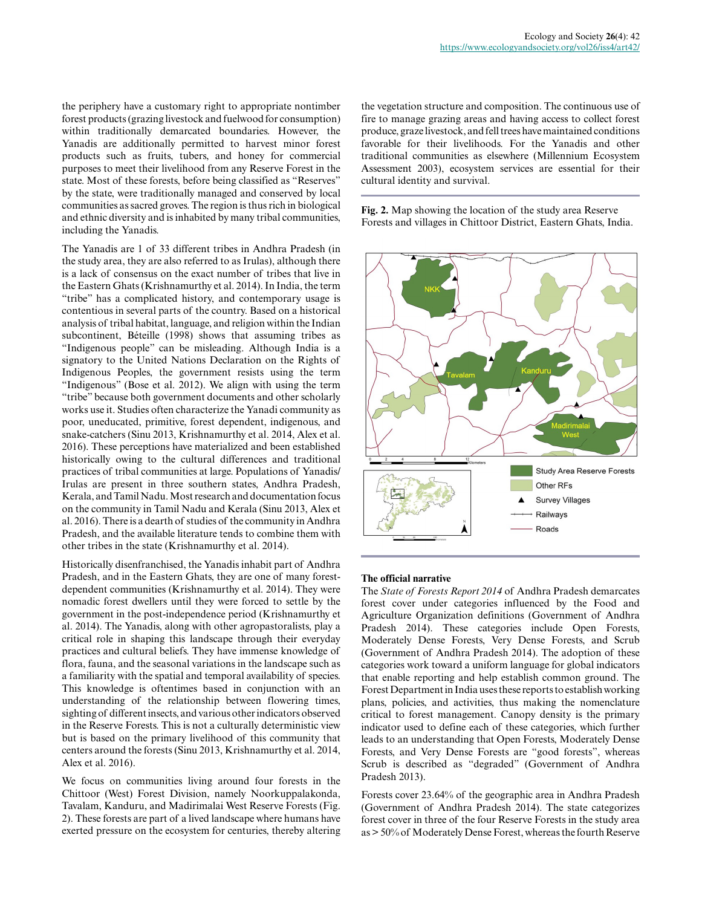the periphery have a customary right to appropriate nontimber forest products (grazing livestock and fuelwood for consumption) within traditionally demarcated boundaries. However, the Yanadis are additionally permitted to harvest minor forest products such as fruits, tubers, and honey for commercial purposes to meet their livelihood from any Reserve Forest in the state. Most of these forests, before being classified as "Reserves" by the state, were traditionally managed and conserved by local communities as sacred groves. The region is thus rich in biological and ethnic diversity and is inhabited by many tribal communities, including the Yanadis.

The Yanadis are 1 of 33 different tribes in Andhra Pradesh (in the study area, they are also referred to as Irulas), although there is a lack of consensus on the exact number of tribes that live in the Eastern Ghats (Krishnamurthy et al. 2014). In India, the term "tribe" has a complicated history, and contemporary usage is contentious in several parts of the country. Based on a historical analysis of tribal habitat, language, and religion within the Indian subcontinent, Béteille (1998) shows that assuming tribes as "Indigenous people" can be misleading. Although India is a signatory to the United Nations Declaration on the Rights of Indigenous Peoples, the government resists using the term "Indigenous" (Bose et al. 2012). We align with using the term "tribe" because both government documents and other scholarly works use it. Studies often characterize the Yanadi community as poor, uneducated, primitive, forest dependent, indigenous, and snake-catchers (Sinu 2013, Krishnamurthy et al. 2014, Alex et al. 2016). These perceptions have materialized and been established historically owing to the cultural differences and traditional practices of tribal communities at large. Populations of Yanadis/ Irulas are present in three southern states, Andhra Pradesh, Kerala, and Tamil Nadu. Most research and documentation focus on the community in Tamil Nadu and Kerala (Sinu 2013, Alex et al. 2016). There is a dearth of studies of the community in Andhra Pradesh, and the available literature tends to combine them with other tribes in the state (Krishnamurthy et al. 2014).

Historically disenfranchised, the Yanadis inhabit part of Andhra Pradesh, and in the Eastern Ghats, they are one of many forestdependent communities (Krishnamurthy et al. 2014). They were nomadic forest dwellers until they were forced to settle by the government in the post-independence period (Krishnamurthy et al. 2014). The Yanadis, along with other agropastoralists, play a critical role in shaping this landscape through their everyday practices and cultural beliefs. They have immense knowledge of flora, fauna, and the seasonal variations in the landscape such as a familiarity with the spatial and temporal availability of species. This knowledge is oftentimes based in conjunction with an understanding of the relationship between flowering times, sighting of different insects, and various other indicators observed in the Reserve Forests. This is not a culturally deterministic view but is based on the primary livelihood of this community that centers around the forests (Sinu 2013, Krishnamurthy et al. 2014, Alex et al. 2016).

We focus on communities living around four forests in the Chittoor (West) Forest Division, namely Noorkuppalakonda, Tavalam, Kanduru, and Madirimalai West Reserve Forests (Fig. 2). These forests are part of a lived landscape where humans have exerted pressure on the ecosystem for centuries, thereby altering the vegetation structure and composition. The continuous use of fire to manage grazing areas and having access to collect forest produce, graze livestock, and fell trees have maintained conditions favorable for their livelihoods. For the Yanadis and other traditional communities as elsewhere (Millennium Ecosystem Assessment 2003), ecosystem services are essential for their cultural identity and survival.

**Fig. 2.** Map showing the location of the study area Reserve Forests and villages in Chittoor District, Eastern Ghats, India.



## **The official narrative**

The *State of Forests Report 2014* of Andhra Pradesh demarcates forest cover under categories influenced by the Food and Agriculture Organization definitions (Government of Andhra Pradesh 2014). These categories include Open Forests, Moderately Dense Forests, Very Dense Forests, and Scrub (Government of Andhra Pradesh 2014). The adoption of these categories work toward a uniform language for global indicators that enable reporting and help establish common ground. The Forest Department in India uses these reports to establish working plans, policies, and activities, thus making the nomenclature critical to forest management. Canopy density is the primary indicator used to define each of these categories, which further leads to an understanding that Open Forests, Moderately Dense Forests, and Very Dense Forests are "good forests", whereas Scrub is described as "degraded" (Government of Andhra Pradesh 2013).

Forests cover 23.64% of the geographic area in Andhra Pradesh (Government of Andhra Pradesh 2014). The state categorizes forest cover in three of the four Reserve Forests in the study area as > 50% of Moderately Dense Forest, whereas the fourth Reserve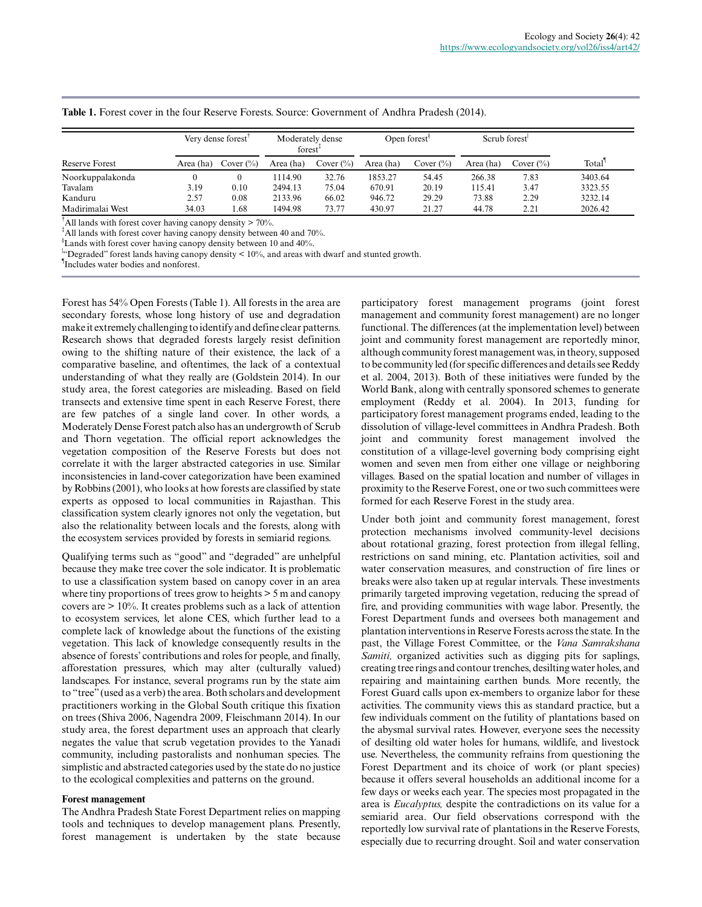|                  | Very dense forest |              | Moderately dense<br>forest <sup>+</sup> |              | Open forest <sup>s</sup> |               | Scrub forest |              |         |
|------------------|-------------------|--------------|-----------------------------------------|--------------|--------------------------|---------------|--------------|--------------|---------|
| Reserve Forest   | Area (ha)         | Cover $(\%)$ | Area (ha)                               | Cover $(\%)$ | Area (ha)                | Cover $(\% )$ | Area (ha)    | Cover $(\%)$ | Total   |
| Noorkuppalakonda |                   | 0            | 1114.90                                 | 32.76        | 1853.27                  | 54.45         | 266.38       | 7.83         | 3403.64 |
| Tavalam          | 3.19              | 0.10         | 2494.13                                 | 75.04        | 670.91                   | 20.19         | 115.41       | 3.47         | 3323.55 |
| Kanduru          | 2.57              | 0.08         | 2133.96                                 | 66.02        | 946.72                   | 29.29         | 73.88        | 2.29         | 3232.14 |
| Madirimalai West | 34.03             | . 68         | 1494.98                                 | 73.77        | 430.97                   | 21.27         | 44.78        | 2.21         | 2026.42 |

## **Table 1.** Forest cover in the four Reserve Forests. Source: Government of Andhra Pradesh (2014).

<sup>†</sup>All lands with forest cover having canopy density  $> 70\%$ .

<sup>‡</sup>All lands with forest cover having canopy density between 40 and 70%.

§ Lands with forest cover having canopy density between 10 and 40%.

 $\frac{1}{2}$  Degraded" forest lands having canopy density < 10%, and areas with dwarf and stunted growth.

¶ Includes water bodies and nonforest.

Forest has 54% Open Forests (Table 1). All forests in the area are secondary forests, whose long history of use and degradation make it extremely challenging to identify and define clear patterns. Research shows that degraded forests largely resist definition owing to the shifting nature of their existence, the lack of a comparative baseline, and oftentimes, the lack of a contextual understanding of what they really are (Goldstein 2014). In our study area, the forest categories are misleading. Based on field transects and extensive time spent in each Reserve Forest, there are few patches of a single land cover. In other words, a Moderately Dense Forest patch also has an undergrowth of Scrub and Thorn vegetation. The official report acknowledges the vegetation composition of the Reserve Forests but does not correlate it with the larger abstracted categories in use. Similar inconsistencies in land-cover categorization have been examined by Robbins (2001), who looks at how forests are classified by state experts as opposed to local communities in Rajasthan. This classification system clearly ignores not only the vegetation, but also the relationality between locals and the forests, along with the ecosystem services provided by forests in semiarid regions.

Qualifying terms such as "good" and "degraded" are unhelpful because they make tree cover the sole indicator. It is problematic to use a classification system based on canopy cover in an area where tiny proportions of trees grow to heights > 5 m and canopy covers are > 10%. It creates problems such as a lack of attention to ecosystem services, let alone CES, which further lead to a complete lack of knowledge about the functions of the existing vegetation. This lack of knowledge consequently results in the absence of forests' contributions and roles for people, and finally, afforestation pressures, which may alter (culturally valued) landscapes. For instance, several programs run by the state aim to "tree" (used as a verb) the area. Both scholars and development practitioners working in the Global South critique this fixation on trees (Shiva 2006, Nagendra 2009, Fleischmann 2014). In our study area, the forest department uses an approach that clearly negates the value that scrub vegetation provides to the Yanadi community, including pastoralists and nonhuman species. The simplistic and abstracted categories used by the state do no justice to the ecological complexities and patterns on the ground.

#### **Forest management**

The Andhra Pradesh State Forest Department relies on mapping tools and techniques to develop management plans. Presently, forest management is undertaken by the state because participatory forest management programs (joint forest management and community forest management) are no longer functional. The differences (at the implementation level) between joint and community forest management are reportedly minor, although community forest management was, in theory, supposed to be community led (for specific differences and details see Reddy et al. 2004, 2013). Both of these initiatives were funded by the World Bank, along with centrally sponsored schemes to generate employment (Reddy et al. 2004). In 2013, funding for participatory forest management programs ended, leading to the dissolution of village-level committees in Andhra Pradesh. Both joint and community forest management involved the constitution of a village-level governing body comprising eight women and seven men from either one village or neighboring villages. Based on the spatial location and number of villages in proximity to the Reserve Forest, one or two such committees were formed for each Reserve Forest in the study area.

Under both joint and community forest management, forest protection mechanisms involved community-level decisions about rotational grazing, forest protection from illegal felling, restrictions on sand mining, etc. Plantation activities, soil and water conservation measures, and construction of fire lines or breaks were also taken up at regular intervals. These investments primarily targeted improving vegetation, reducing the spread of fire, and providing communities with wage labor. Presently, the Forest Department funds and oversees both management and plantation interventions in Reserve Forests across the state. In the past, the Village Forest Committee, or the *Vana Samrakshana Samiti,* organized activities such as digging pits for saplings, creating tree rings and contour trenches, desilting water holes, and repairing and maintaining earthen bunds. More recently, the Forest Guard calls upon ex-members to organize labor for these activities. The community views this as standard practice, but a few individuals comment on the futility of plantations based on the abysmal survival rates. However, everyone sees the necessity of desilting old water holes for humans, wildlife, and livestock use. Nevertheless, the community refrains from questioning the Forest Department and its choice of work (or plant species) because it offers several households an additional income for a few days or weeks each year. The species most propagated in the area is *Eucalyptus,* despite the contradictions on its value for a semiarid area. Our field observations correspond with the reportedly low survival rate of plantations in the Reserve Forests, especially due to recurring drought. Soil and water conservation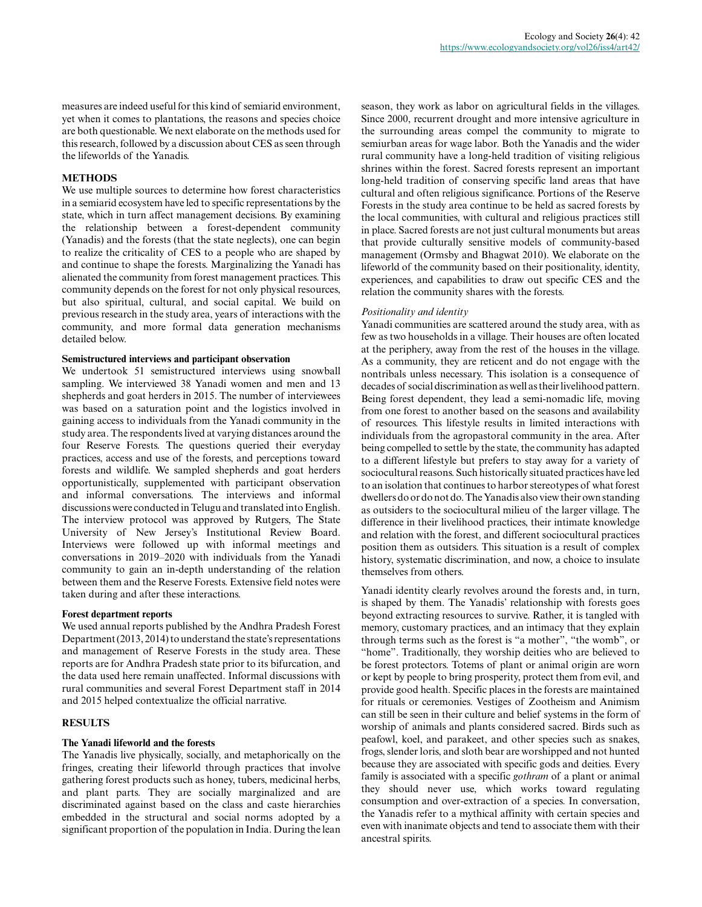measures are indeed useful for this kind of semiarid environment, yet when it comes to plantations, the reasons and species choice are both questionable. We next elaborate on the methods used for this research, followed by a discussion about CES as seen through the lifeworlds of the Yanadis.

## **METHODS**

We use multiple sources to determine how forest characteristics in a semiarid ecosystem have led to specific representations by the state, which in turn affect management decisions. By examining the relationship between a forest-dependent community (Yanadis) and the forests (that the state neglects), one can begin to realize the criticality of CES to a people who are shaped by and continue to shape the forests. Marginalizing the Yanadi has alienated the community from forest management practices. This community depends on the forest for not only physical resources, but also spiritual, cultural, and social capital. We build on previous research in the study area, years of interactions with the community, and more formal data generation mechanisms detailed below.

## **Semistructured interviews and participant observation**

We undertook 51 semistructured interviews using snowball sampling. We interviewed 38 Yanadi women and men and 13 shepherds and goat herders in 2015. The number of interviewees was based on a saturation point and the logistics involved in gaining access to individuals from the Yanadi community in the study area. The respondents lived at varying distances around the four Reserve Forests. The questions queried their everyday practices, access and use of the forests, and perceptions toward forests and wildlife. We sampled shepherds and goat herders opportunistically, supplemented with participant observation and informal conversations. The interviews and informal discussions were conducted in Telugu and translated into English. The interview protocol was approved by Rutgers, The State University of New Jersey's Institutional Review Board. Interviews were followed up with informal meetings and conversations in 2019–2020 with individuals from the Yanadi community to gain an in-depth understanding of the relation between them and the Reserve Forests. Extensive field notes were taken during and after these interactions.

## **Forest department reports**

We used annual reports published by the Andhra Pradesh Forest Department (2013, 2014) to understand the state's representations and management of Reserve Forests in the study area. These reports are for Andhra Pradesh state prior to its bifurcation, and the data used here remain unaffected. Informal discussions with rural communities and several Forest Department staff in 2014 and 2015 helped contextualize the official narrative.

## **RESULTS**

## **The Yanadi lifeworld and the forests**

The Yanadis live physically, socially, and metaphorically on the fringes, creating their lifeworld through practices that involve gathering forest products such as honey, tubers, medicinal herbs, and plant parts. They are socially marginalized and are discriminated against based on the class and caste hierarchies embedded in the structural and social norms adopted by a significant proportion of the population in India. During the lean season, they work as labor on agricultural fields in the villages. Since 2000, recurrent drought and more intensive agriculture in the surrounding areas compel the community to migrate to semiurban areas for wage labor. Both the Yanadis and the wider rural community have a long-held tradition of visiting religious shrines within the forest. Sacred forests represent an important long-held tradition of conserving specific land areas that have cultural and often religious significance. Portions of the Reserve Forests in the study area continue to be held as sacred forests by the local communities, with cultural and religious practices still in place. Sacred forests are not just cultural monuments but areas that provide culturally sensitive models of community-based management (Ormsby and Bhagwat 2010). We elaborate on the lifeworld of the community based on their positionality, identity, experiences, and capabilities to draw out specific CES and the relation the community shares with the forests.

## *Positionality and identity*

Yanadi communities are scattered around the study area, with as few as two households in a village. Their houses are often located at the periphery, away from the rest of the houses in the village. As a community, they are reticent and do not engage with the nontribals unless necessary. This isolation is a consequence of decades of social discrimination as well as their livelihood pattern. Being forest dependent, they lead a semi-nomadic life, moving from one forest to another based on the seasons and availability of resources. This lifestyle results in limited interactions with individuals from the agropastoral community in the area. After being compelled to settle by the state, the community has adapted to a different lifestyle but prefers to stay away for a variety of sociocultural reasons. Such historically situated practices have led to an isolation that continues to harbor stereotypes of what forest dwellers do or do not do. The Yanadis also view their own standing as outsiders to the sociocultural milieu of the larger village. The difference in their livelihood practices, their intimate knowledge and relation with the forest, and different sociocultural practices position them as outsiders. This situation is a result of complex history, systematic discrimination, and now, a choice to insulate themselves from others.

Yanadi identity clearly revolves around the forests and, in turn, is shaped by them. The Yanadis' relationship with forests goes beyond extracting resources to survive. Rather, it is tangled with memory, customary practices, and an intimacy that they explain through terms such as the forest is "a mother", "the womb", or "home". Traditionally, they worship deities who are believed to be forest protectors. Totems of plant or animal origin are worn or kept by people to bring prosperity, protect them from evil, and provide good health. Specific places in the forests are maintained for rituals or ceremonies. Vestiges of Zootheism and Animism can still be seen in their culture and belief systems in the form of worship of animals and plants considered sacred. Birds such as peafowl, koel, and parakeet, and other species such as snakes, frogs, slender loris, and sloth bear are worshipped and not hunted because they are associated with specific gods and deities. Every family is associated with a specific *gothram* of a plant or animal they should never use, which works toward regulating consumption and over-extraction of a species. In conversation, the Yanadis refer to a mythical affinity with certain species and even with inanimate objects and tend to associate them with their ancestral spirits.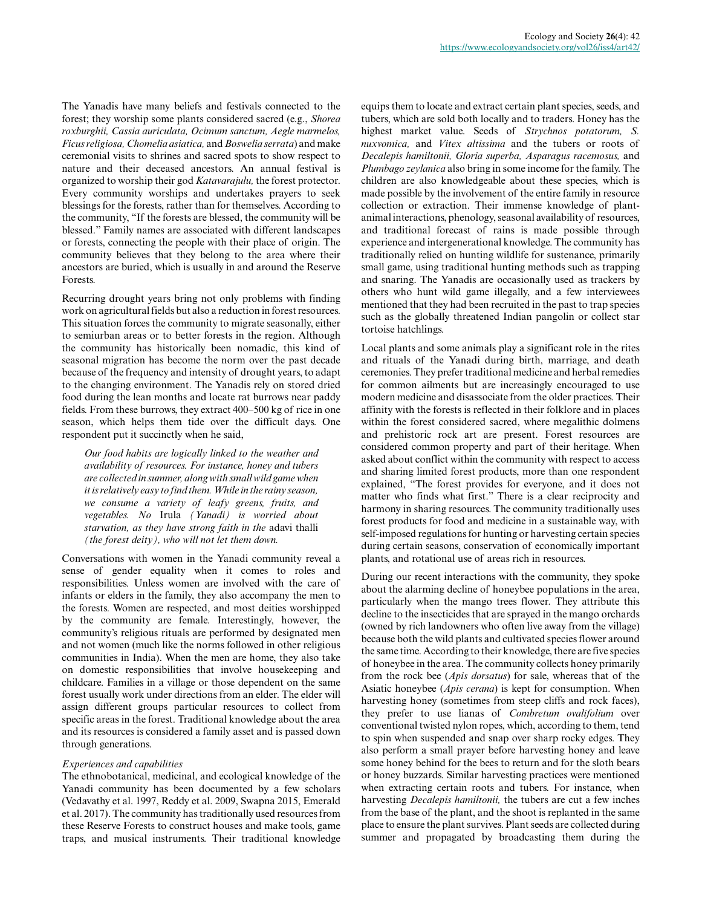The Yanadis have many beliefs and festivals connected to the forest; they worship some plants considered sacred (e.g., *Shorea roxburghii, Cassia auriculata, Ocimum sanctum, Aegle marmelos, Ficus religiosa, Chomelia asiatica,* and *Boswelia serrata*) and make ceremonial visits to shrines and sacred spots to show respect to nature and their deceased ancestors. An annual festival is organized to worship their god *Katavarajulu,* the forest protector. Every community worships and undertakes prayers to seek blessings for the forests, rather than for themselves. According to the community, "If the forests are blessed, the community will be blessed." Family names are associated with different landscapes or forests, connecting the people with their place of origin. The community believes that they belong to the area where their ancestors are buried, which is usually in and around the Reserve Forests.

Recurring drought years bring not only problems with finding work on agricultural fields but also a reduction in forest resources. This situation forces the community to migrate seasonally, either to semiurban areas or to better forests in the region. Although the community has historically been nomadic, this kind of seasonal migration has become the norm over the past decade because of the frequency and intensity of drought years, to adapt to the changing environment. The Yanadis rely on stored dried food during the lean months and locate rat burrows near paddy fields. From these burrows, they extract 400–500 kg of rice in one season, which helps them tide over the difficult days. One respondent put it succinctly when he said,

*Our food habits are logically linked to the weather and availability of resources. For instance, honey and tubers are collected in summer, along with small wild game when it is relatively easy to find them. While in the rainy season, we consume a variety of leafy greens, fruits, and vegetables. No* Irula *(Yanadi) is worried about starvation, as they have strong faith in the* adavi thalli *(the forest deity), who will not let them down.*

Conversations with women in the Yanadi community reveal a sense of gender equality when it comes to roles and responsibilities. Unless women are involved with the care of infants or elders in the family, they also accompany the men to the forests. Women are respected, and most deities worshipped by the community are female. Interestingly, however, the community's religious rituals are performed by designated men and not women (much like the norms followed in other religious communities in India). When the men are home, they also take on domestic responsibilities that involve housekeeping and childcare. Families in a village or those dependent on the same forest usually work under directions from an elder. The elder will assign different groups particular resources to collect from specific areas in the forest. Traditional knowledge about the area and its resources is considered a family asset and is passed down through generations.

## *Experiences and capabilities*

The ethnobotanical, medicinal, and ecological knowledge of the Yanadi community has been documented by a few scholars (Vedavathy et al. 1997, Reddy et al. 2009, Swapna 2015, Emerald et al. 2017). The community has traditionally used resources from these Reserve Forests to construct houses and make tools, game traps, and musical instruments. Their traditional knowledge equips them to locate and extract certain plant species, seeds, and tubers, which are sold both locally and to traders. Honey has the highest market value. Seeds of *Strychnos potatorum, S. nuxvomica,* and *Vitex altissima* and the tubers or roots of *Decalepis hamiltonii, Gloria superba, Asparagus racemosus,* and *Plumbago zeylanica* also bring in some income for the family. The children are also knowledgeable about these species, which is made possible by the involvement of the entire family in resource collection or extraction. Their immense knowledge of plantanimal interactions, phenology, seasonal availability of resources, and traditional forecast of rains is made possible through experience and intergenerational knowledge. The community has traditionally relied on hunting wildlife for sustenance, primarily small game, using traditional hunting methods such as trapping and snaring. The Yanadis are occasionally used as trackers by others who hunt wild game illegally, and a few interviewees mentioned that they had been recruited in the past to trap species such as the globally threatened Indian pangolin or collect star tortoise hatchlings.

Local plants and some animals play a significant role in the rites and rituals of the Yanadi during birth, marriage, and death ceremonies. They prefer traditional medicine and herbal remedies for common ailments but are increasingly encouraged to use modern medicine and disassociate from the older practices. Their affinity with the forests is reflected in their folklore and in places within the forest considered sacred, where megalithic dolmens and prehistoric rock art are present. Forest resources are considered common property and part of their heritage. When asked about conflict within the community with respect to access and sharing limited forest products, more than one respondent explained, "The forest provides for everyone, and it does not matter who finds what first." There is a clear reciprocity and harmony in sharing resources. The community traditionally uses forest products for food and medicine in a sustainable way, with self-imposed regulations for hunting or harvesting certain species during certain seasons, conservation of economically important plants, and rotational use of areas rich in resources.

During our recent interactions with the community, they spoke about the alarming decline of honeybee populations in the area, particularly when the mango trees flower. They attribute this decline to the insecticides that are sprayed in the mango orchards (owned by rich landowners who often live away from the village) because both the wild plants and cultivated species flower around the same time. According to their knowledge, there are five species of honeybee in the area. The community collects honey primarily from the rock bee (*Apis dorsatus*) for sale, whereas that of the Asiatic honeybee (*Apis cerana*) is kept for consumption. When harvesting honey (sometimes from steep cliffs and rock faces), they prefer to use lianas of *Combretum ovalifolium* over conventional twisted nylon ropes, which, according to them, tend to spin when suspended and snap over sharp rocky edges. They also perform a small prayer before harvesting honey and leave some honey behind for the bees to return and for the sloth bears or honey buzzards. Similar harvesting practices were mentioned when extracting certain roots and tubers. For instance, when harvesting *Decalepis hamiltonii,* the tubers are cut a few inches from the base of the plant, and the shoot is replanted in the same place to ensure the plant survives. Plant seeds are collected during summer and propagated by broadcasting them during the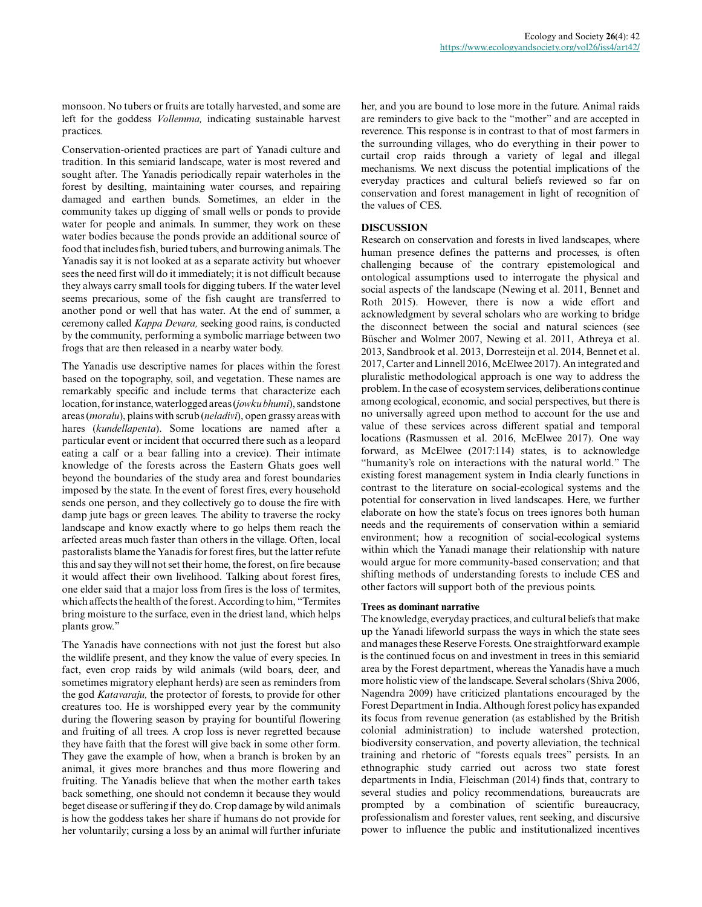monsoon. No tubers or fruits are totally harvested, and some are left for the goddess *Vollemma,* indicating sustainable harvest practices.

Conservation-oriented practices are part of Yanadi culture and tradition. In this semiarid landscape, water is most revered and sought after. The Yanadis periodically repair waterholes in the forest by desilting, maintaining water courses, and repairing damaged and earthen bunds. Sometimes, an elder in the community takes up digging of small wells or ponds to provide water for people and animals. In summer, they work on these water bodies because the ponds provide an additional source of food that includes fish, buried tubers, and burrowing animals. The Yanadis say it is not looked at as a separate activity but whoever sees the need first will do it immediately; it is not difficult because they always carry small tools for digging tubers. If the water level seems precarious, some of the fish caught are transferred to another pond or well that has water. At the end of summer, a ceremony called *Kappa Devara,* seeking good rains, is conducted by the community, performing a symbolic marriage between two frogs that are then released in a nearby water body.

The Yanadis use descriptive names for places within the forest based on the topography, soil, and vegetation. These names are remarkably specific and include terms that characterize each location, for instance, waterlogged areas (*jowku bhumi*), sandstone areas (*moralu*), plains with scrub (*neladivi*), open grassy areas with hares (*kundellapenta*). Some locations are named after a particular event or incident that occurred there such as a leopard eating a calf or a bear falling into a crevice). Their intimate knowledge of the forests across the Eastern Ghats goes well beyond the boundaries of the study area and forest boundaries imposed by the state. In the event of forest fires, every household sends one person, and they collectively go to douse the fire with damp jute bags or green leaves. The ability to traverse the rocky landscape and know exactly where to go helps them reach the arfected areas much faster than others in the village. Often, local pastoralists blame the Yanadis for forest fires, but the latter refute this and say they will not set their home, the forest, on fire because it would affect their own livelihood. Talking about forest fires, one elder said that a major loss from fires is the loss of termites, which affects the health of the forest. According to him, "Termites bring moisture to the surface, even in the driest land, which helps plants grow."

The Yanadis have connections with not just the forest but also the wildlife present, and they know the value of every species. In fact, even crop raids by wild animals (wild boars, deer, and sometimes migratory elephant herds) are seen as reminders from the god *Katavaraju,* the protector of forests, to provide for other creatures too. He is worshipped every year by the community during the flowering season by praying for bountiful flowering and fruiting of all trees. A crop loss is never regretted because they have faith that the forest will give back in some other form. They gave the example of how, when a branch is broken by an animal, it gives more branches and thus more flowering and fruiting. The Yanadis believe that when the mother earth takes back something, one should not condemn it because they would beget disease or suffering if they do. Crop damage by wild animals is how the goddess takes her share if humans do not provide for her voluntarily; cursing a loss by an animal will further infuriate her, and you are bound to lose more in the future. Animal raids are reminders to give back to the "mother" and are accepted in reverence. This response is in contrast to that of most farmers in the surrounding villages, who do everything in their power to curtail crop raids through a variety of legal and illegal mechanisms. We next discuss the potential implications of the everyday practices and cultural beliefs reviewed so far on conservation and forest management in light of recognition of the values of CES.

## **DISCUSSION**

Research on conservation and forests in lived landscapes, where human presence defines the patterns and processes, is often challenging because of the contrary epistemological and ontological assumptions used to interrogate the physical and social aspects of the landscape (Newing et al. 2011, Bennet and Roth 2015). However, there is now a wide effort and acknowledgment by several scholars who are working to bridge the disconnect between the social and natural sciences (see Büscher and Wolmer 2007, Newing et al. 2011, Athreya et al. 2013, Sandbrook et al. 2013, Dorresteijn et al. 2014, Bennet et al. 2017, Carter and Linnell 2016, McElwee 2017). An integrated and pluralistic methodological approach is one way to address the problem. In the case of ecosystem services, deliberations continue among ecological, economic, and social perspectives, but there is no universally agreed upon method to account for the use and value of these services across different spatial and temporal locations (Rasmussen et al. 2016, McElwee 2017). One way forward, as McElwee (2017:114) states, is to acknowledge "humanity's role on interactions with the natural world." The existing forest management system in India clearly functions in contrast to the literature on social-ecological systems and the potential for conservation in lived landscapes. Here, we further elaborate on how the state's focus on trees ignores both human needs and the requirements of conservation within a semiarid environment; how a recognition of social-ecological systems within which the Yanadi manage their relationship with nature would argue for more community-based conservation; and that shifting methods of understanding forests to include CES and other factors will support both of the previous points.

## **Trees as dominant narrative**

The knowledge, everyday practices, and cultural beliefs that make up the Yanadi lifeworld surpass the ways in which the state sees and manages these Reserve Forests. One straightforward example is the continued focus on and investment in trees in this semiarid area by the Forest department, whereas the Yanadis have a much more holistic view of the landscape. Several scholars (Shiva 2006, Nagendra 2009) have criticized plantations encouraged by the Forest Department in India. Although forest policy has expanded its focus from revenue generation (as established by the British colonial administration) to include watershed protection, biodiversity conservation, and poverty alleviation, the technical training and rhetoric of "forests equals trees" persists. In an ethnographic study carried out across two state forest departments in India, Fleischman (2014) finds that, contrary to several studies and policy recommendations, bureaucrats are prompted by a combination of scientific bureaucracy, professionalism and forester values, rent seeking, and discursive power to influence the public and institutionalized incentives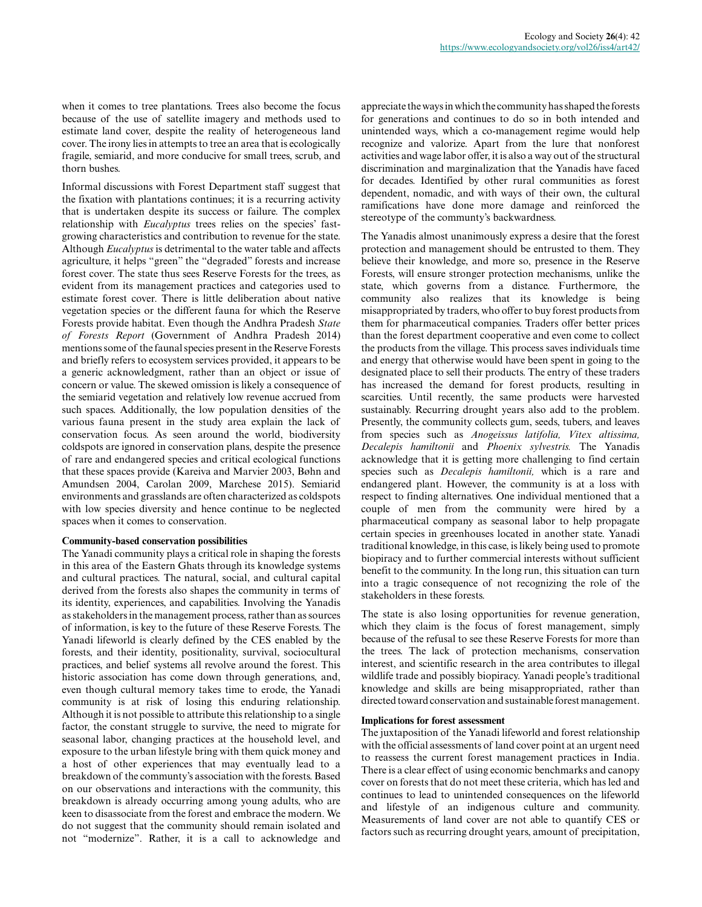when it comes to tree plantations. Trees also become the focus because of the use of satellite imagery and methods used to estimate land cover, despite the reality of heterogeneous land cover. The irony lies in attempts to tree an area that is ecologically fragile, semiarid, and more conducive for small trees, scrub, and thorn bushes.

Informal discussions with Forest Department staff suggest that the fixation with plantations continues; it is a recurring activity that is undertaken despite its success or failure. The complex relationship with *Eucalyptus* trees relies on the species' fastgrowing characteristics and contribution to revenue for the state. Although *Eucalyptus* is detrimental to the water table and affects agriculture, it helps "green" the "degraded" forests and increase forest cover. The state thus sees Reserve Forests for the trees, as evident from its management practices and categories used to estimate forest cover. There is little deliberation about native vegetation species or the different fauna for which the Reserve Forests provide habitat. Even though the Andhra Pradesh *State of Forests Report* (Government of Andhra Pradesh 2014) mentions some of the faunal species present in the Reserve Forests and briefly refers to ecosystem services provided, it appears to be a generic acknowledgment, rather than an object or issue of concern or value. The skewed omission is likely a consequence of the semiarid vegetation and relatively low revenue accrued from such spaces. Additionally, the low population densities of the various fauna present in the study area explain the lack of conservation focus. As seen around the world, biodiversity coldspots are ignored in conservation plans, despite the presence of rare and endangered species and critical ecological functions that these spaces provide (Kareiva and Marvier 2003, Bøhn and Amundsen 2004, Carolan 2009, Marchese 2015). Semiarid environments and grasslands are often characterized as coldspots with low species diversity and hence continue to be neglected spaces when it comes to conservation.

## **Community-based conservation possibilities**

The Yanadi community plays a critical role in shaping the forests in this area of the Eastern Ghats through its knowledge systems and cultural practices. The natural, social, and cultural capital derived from the forests also shapes the community in terms of its identity, experiences, and capabilities. Involving the Yanadis as stakeholders in the management process, rather than as sources of information, is key to the future of these Reserve Forests. The Yanadi lifeworld is clearly defined by the CES enabled by the forests, and their identity, positionality, survival, sociocultural practices, and belief systems all revolve around the forest. This historic association has come down through generations, and, even though cultural memory takes time to erode, the Yanadi community is at risk of losing this enduring relationship. Although it is not possible to attribute this relationship to a single factor, the constant struggle to survive, the need to migrate for seasonal labor, changing practices at the household level, and exposure to the urban lifestyle bring with them quick money and a host of other experiences that may eventually lead to a breakdown of the communty's association with the forests. Based on our observations and interactions with the community, this breakdown is already occurring among young adults, who are keen to disassociate from the forest and embrace the modern. We do not suggest that the community should remain isolated and not "modernize". Rather, it is a call to acknowledge and

appreciate the ways in which the community has shaped the forests for generations and continues to do so in both intended and unintended ways, which a co-management regime would help recognize and valorize. Apart from the lure that nonforest activities and wage labor offer, it is also a way out of the structural discrimination and marginalization that the Yanadis have faced for decades. Identified by other rural communities as forest dependent, nomadic, and with ways of their own, the cultural ramifications have done more damage and reinforced the stereotype of the communty's backwardness.

The Yanadis almost unanimously express a desire that the forest protection and management should be entrusted to them. They believe their knowledge, and more so, presence in the Reserve Forests, will ensure stronger protection mechanisms, unlike the state, which governs from a distance. Furthermore, the community also realizes that its knowledge is being misappropriated by traders, who offer to buy forest products from them for pharmaceutical companies. Traders offer better prices than the forest department cooperative and even come to collect the products from the village. This process saves individuals time and energy that otherwise would have been spent in going to the designated place to sell their products. The entry of these traders has increased the demand for forest products, resulting in scarcities. Until recently, the same products were harvested sustainably. Recurring drought years also add to the problem. Presently, the community collects gum, seeds, tubers, and leaves from species such as *Anogeissus latifolia, Vitex altissima, Decalepis hamiltonii* and *Phoenix sylvestris.* The Yanadis acknowledge that it is getting more challenging to find certain species such as *Decalepis hamiltonii,* which is a rare and endangered plant. However, the community is at a loss with respect to finding alternatives. One individual mentioned that a couple of men from the community were hired by a pharmaceutical company as seasonal labor to help propagate certain species in greenhouses located in another state. Yanadi traditional knowledge, in this case, is likely being used to promote biopiracy and to further commercial interests without sufficient benefit to the community. In the long run, this situation can turn into a tragic consequence of not recognizing the role of the stakeholders in these forests.

The state is also losing opportunities for revenue generation, which they claim is the focus of forest management, simply because of the refusal to see these Reserve Forests for more than the trees. The lack of protection mechanisms, conservation interest, and scientific research in the area contributes to illegal wildlife trade and possibly biopiracy. Yanadi people's traditional knowledge and skills are being misappropriated, rather than directed toward conservation and sustainable forest management.

## **Implications for forest assessment**

The juxtaposition of the Yanadi lifeworld and forest relationship with the official assessments of land cover point at an urgent need to reassess the current forest management practices in India. There is a clear effect of using economic benchmarks and canopy cover on forests that do not meet these criteria, which has led and continues to lead to unintended consequences on the lifeworld and lifestyle of an indigenous culture and community. Measurements of land cover are not able to quantify CES or factors such as recurring drought years, amount of precipitation,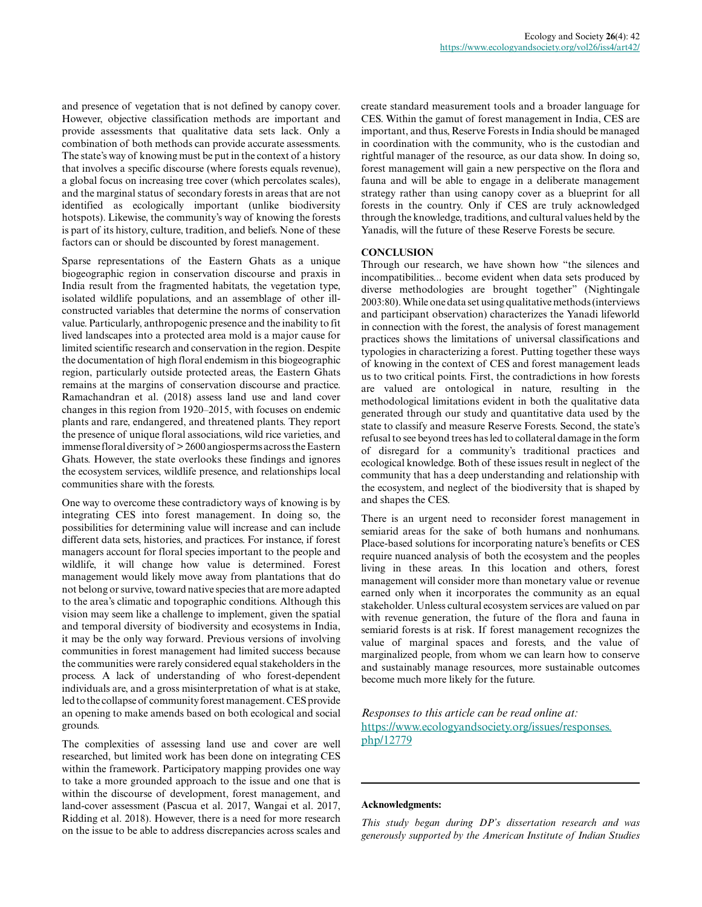and presence of vegetation that is not defined by canopy cover. However, objective classification methods are important and provide assessments that qualitative data sets lack. Only a combination of both methods can provide accurate assessments. The state's way of knowing must be put in the context of a history that involves a specific discourse (where forests equals revenue), a global focus on increasing tree cover (which percolates scales), and the marginal status of secondary forests in areas that are not identified as ecologically important (unlike biodiversity hotspots). Likewise, the community's way of knowing the forests is part of its history, culture, tradition, and beliefs. None of these factors can or should be discounted by forest management.

Sparse representations of the Eastern Ghats as a unique biogeographic region in conservation discourse and praxis in India result from the fragmented habitats, the vegetation type, isolated wildlife populations, and an assemblage of other illconstructed variables that determine the norms of conservation value. Particularly, anthropogenic presence and the inability to fit lived landscapes into a protected area mold is a major cause for limited scientific research and conservation in the region. Despite the documentation of high floral endemism in this biogeographic region, particularly outside protected areas, the Eastern Ghats remains at the margins of conservation discourse and practice. Ramachandran et al. (2018) assess land use and land cover changes in this region from 1920–2015, with focuses on endemic plants and rare, endangered, and threatened plants. They report the presence of unique floral associations, wild rice varieties, and immense floral diversity of > 2600 angiosperms across the Eastern Ghats. However, the state overlooks these findings and ignores the ecosystem services, wildlife presence, and relationships local communities share with the forests.

One way to overcome these contradictory ways of knowing is by integrating CES into forest management. In doing so, the possibilities for determining value will increase and can include different data sets, histories, and practices. For instance, if forest managers account for floral species important to the people and wildlife, it will change how value is determined. Forest management would likely move away from plantations that do not belong or survive, toward native species that are more adapted to the area's climatic and topographic conditions. Although this vision may seem like a challenge to implement, given the spatial and temporal diversity of biodiversity and ecosystems in India, it may be the only way forward. Previous versions of involving communities in forest management had limited success because the communities were rarely considered equal stakeholders in the process. A lack of understanding of who forest-dependent individuals are, and a gross misinterpretation of what is at stake, led to the collapse of community forest management. CES provide an opening to make amends based on both ecological and social grounds.

The complexities of assessing land use and cover are well researched, but limited work has been done on integrating CES within the framework. Participatory mapping provides one way to take a more grounded approach to the issue and one that is within the discourse of development, forest management, and land-cover assessment (Pascua et al. 2017, Wangai et al. 2017, Ridding et al. 2018). However, there is a need for more research on the issue to be able to address discrepancies across scales and

create standard measurement tools and a broader language for CES. Within the gamut of forest management in India, CES are important, and thus, Reserve Forests in India should be managed in coordination with the community, who is the custodian and rightful manager of the resource, as our data show. In doing so, forest management will gain a new perspective on the flora and fauna and will be able to engage in a deliberate management strategy rather than using canopy cover as a blueprint for all forests in the country. Only if CES are truly acknowledged through the knowledge, traditions, and cultural values held by the Yanadis, will the future of these Reserve Forests be secure.

# **CONCLUSION**

Through our research, we have shown how "the silences and incompatibilities... become evident when data sets produced by diverse methodologies are brought together" (Nightingale 2003:80). While one data set using qualitative methods (interviews and participant observation) characterizes the Yanadi lifeworld in connection with the forest, the analysis of forest management practices shows the limitations of universal classifications and typologies in characterizing a forest. Putting together these ways of knowing in the context of CES and forest management leads us to two critical points. First, the contradictions in how forests are valued are ontological in nature, resulting in the methodological limitations evident in both the qualitative data generated through our study and quantitative data used by the state to classify and measure Reserve Forests. Second, the state's refusal to see beyond trees has led to collateral damage in the form of disregard for a community's traditional practices and ecological knowledge. Both of these issues result in neglect of the community that has a deep understanding and relationship with the ecosystem, and neglect of the biodiversity that is shaped by and shapes the CES.

There is an urgent need to reconsider forest management in semiarid areas for the sake of both humans and nonhumans. Place-based solutions for incorporating nature's benefits or CES require nuanced analysis of both the ecosystem and the peoples living in these areas. In this location and others, forest management will consider more than monetary value or revenue earned only when it incorporates the community as an equal stakeholder. Unless cultural ecosystem services are valued on par with revenue generation, the future of the flora and fauna in semiarid forests is at risk. If forest management recognizes the value of marginal spaces and forests, and the value of marginalized people, from whom we can learn how to conserve and sustainably manage resources, more sustainable outcomes become much more likely for the future.

*Responses to this article can be read online at:* [https://www.ecologyandsociety.org/issues/responses.](https://www.ecologyandsociety.org/issues/responses.php/12779) [php/12779](https://www.ecologyandsociety.org/issues/responses.php/12779)

## **Acknowledgments:**

*This study began during DP's dissertation research and was generously supported by the American Institute of Indian Studies*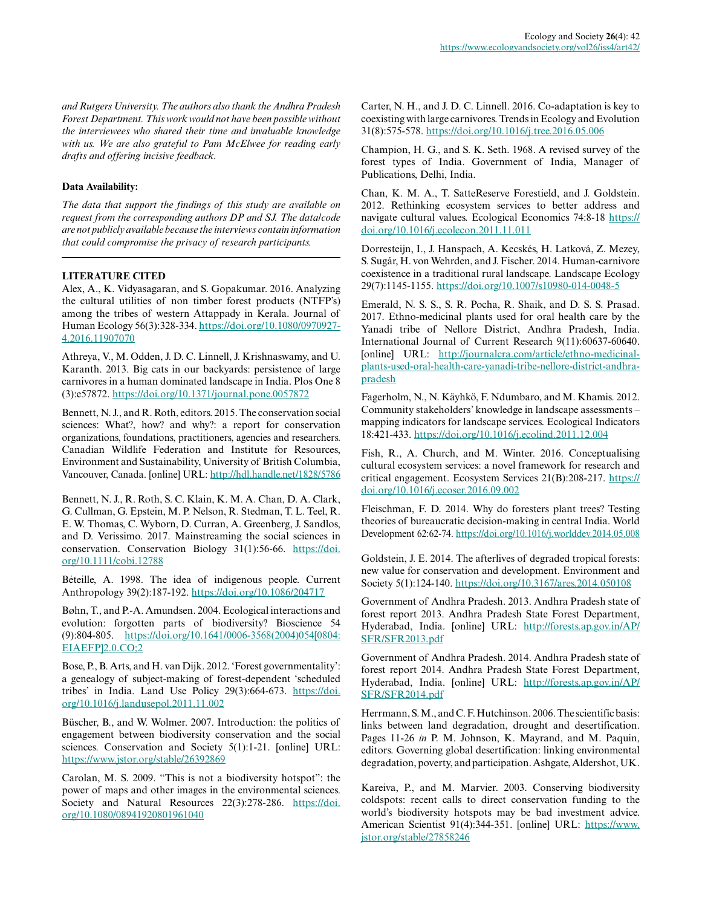*and Rutgers University. The authors also thank the Andhra Pradesh Forest Department. This work would not have been possible without the interviewees who shared their time and invaluable knowledge with us. We are also grateful to Pam McElwee for reading early drafts and offering incisive feedback.*

## **Data Availability:**

*The data that support the findings of this study are available on request from the corresponding authors DP and SJ. The data/code are not publicly available because the interviews contain information that could compromise the privacy of research participants.*

# **LITERATURE CITED**

Alex, A., K. Vidyasagaran, and S. Gopakumar. 2016. Analyzing the cultural utilities of non timber forest products (NTFP's) among the tribes of western Attappady in Kerala. Journal of Human Ecology 56(3):328-334. [https://doi.org/10.1080/0970927](https://doi.org/10.1080/09709274.2016.11907070) [4.2016.11907070](https://doi.org/10.1080/09709274.2016.11907070)

Athreya, V., M. Odden, J. D. C. Linnell, J. Krishnaswamy, and U. Karanth. 2013. Big cats in our backyards: persistence of large carnivores in a human dominated landscape in India. Plos One 8 (3):e57872.<https://doi.org/10.1371/journal.pone.0057872>

Bennett, N. J., and R. Roth, editors. 2015. The conservation social sciences: What?, how? and why?: a report for conservation organizations, foundations, practitioners, agencies and researchers. Canadian Wildlife Federation and Institute for Resources, Environment and Sustainability, University of British Columbia, Vancouver, Canada. [online] URL:<http://hdl.handle.net/1828/5786>

Bennett, N. J., R. Roth, S. C. Klain, K. M. A. Chan, D. A. Clark, G. Cullman, G. Epstein, M. P. Nelson, R. Stedman, T. L. Teel, R. E. W. Thomas, C. Wyborn, D. Curran, A. Greenberg, J. Sandlos, and D. Verissimo. 2017. Mainstreaming the social sciences in conservation. Conservation Biology 31(1):56-66. [https://doi.](https://doi.org/10.1111/cobi.12788) [org/10.1111/cobi.12788](https://doi.org/10.1111/cobi.12788)

Béteille, A. 1998. The idea of indigenous people. Current Anthropology 39(2):187-192.<https://doi.org/10.1086/204717>

Bøhn, T., and P.-A. Amundsen. 2004. Ecological interactions and evolution: forgotten parts of biodiversity? Bioscience 54 (9):804-805. [https://doi.org/10.1641/0006-3568\(2004\)054\[0804:](https://doi.org/10.1641/0006-3568(2004)054[0804:EIAEFP]2.0.CO;2) [EIAEFP\]2.0.CO;2](https://doi.org/10.1641/0006-3568(2004)054[0804:EIAEFP]2.0.CO;2) 

Bose, P., B. Arts, and H. van Dijk. 2012. 'Forest governmentality': a genealogy of subject-making of forest-dependent 'scheduled tribes' in India. Land Use Policy 29(3):664-673. [https://doi.](https://doi.org/10.1016/j.landusepol.2011.11.002) [org/10.1016/j.landusepol.2011.11.002](https://doi.org/10.1016/j.landusepol.2011.11.002) 

Büscher, B., and W. Wolmer. 2007. Introduction: the politics of engagement between biodiversity conservation and the social sciences. Conservation and Society 5(1):1-21. [online] URL: <https://www.jstor.org/stable/26392869>

Carolan, M. S. 2009. "This is not a biodiversity hotspot": the power of maps and other images in the environmental sciences. Society and Natural Resources 22(3):278-286. [https://doi.](https://doi.org/10.1080/08941920801961040) [org/10.1080/08941920801961040](https://doi.org/10.1080/08941920801961040) 

Carter, N. H., and J. D. C. Linnell. 2016. Co-adaptation is key to coexisting with large carnivores. Trends in Ecology and Evolution 31(8):575-578. <https://doi.org/10.1016/j.tree.2016.05.006>

Champion, H. G., and S. K. Seth. 1968. A revised survey of the forest types of India. Government of India, Manager of Publications, Delhi, India.

Chan, K. M. A., T. SatteReserve Forestield, and J. Goldstein. 2012. Rethinking ecosystem services to better address and navigate cultural values. Ecological Economics 74:8-18 [https://](https://doi.org/10.1016/j.ecolecon.2011.11.011) [doi.org/10.1016/j.ecolecon.2011.11.011](https://doi.org/10.1016/j.ecolecon.2011.11.011) 

Dorresteijn, I., J. Hanspach, A. Kecskés, H. Latková, Z. Mezey, S. Sugár, H. von Wehrden, and J. Fischer. 2014. Human-carnivore coexistence in a traditional rural landscape. Landscape Ecology 29(7):1145-1155. <https://doi.org/10.1007/s10980-014-0048-5>

Emerald, N. S. S., S. R. Pocha, R. Shaik, and D. S. S. Prasad. 2017. Ethno-medicinal plants used for oral health care by the Yanadi tribe of Nellore District, Andhra Pradesh, India. International Journal of Current Research 9(11):60637-60640. [online] URL: [http://journalcra.com/article/ethno-medicinal](http://journalcra.com/article/ethno-medicinal-plants-used-oral-health-care-yanadi-tribe-nellore-district-andhra-pradesh)[plants-used-oral-health-care-yanadi-tribe-nellore-district-andhra](http://journalcra.com/article/ethno-medicinal-plants-used-oral-health-care-yanadi-tribe-nellore-district-andhra-pradesh)[pradesh](http://journalcra.com/article/ethno-medicinal-plants-used-oral-health-care-yanadi-tribe-nellore-district-andhra-pradesh)

Fagerholm, N., N. Käyhkö, F. Ndumbaro, and M. Khamis. 2012. Community stakeholders' knowledge in landscape assessments – mapping indicators for landscape services. Ecological Indicators 18:421-433.<https://doi.org/10.1016/j.ecolind.2011.12.004>

Fish, R., A. Church, and M. Winter. 2016. Conceptualising cultural ecosystem services: a novel framework for research and critical engagement. Ecosystem Services 21(B):208-217. [https://](https://doi.org/10.1016/j.ecoser.2016.09.002) [doi.org/10.1016/j.ecoser.2016.09.002](https://doi.org/10.1016/j.ecoser.2016.09.002) 

Fleischman, F. D. 2014. Why do foresters plant trees? Testing theories of bureaucratic decision-making in central India. World Development 62:62-74. <https://doi.org/10.1016/j.worlddev.2014.05.008>

Goldstein, J. E. 2014. The afterlives of degraded tropical forests: new value for conservation and development. Environment and Society 5(1):124-140.<https://doi.org/10.3167/ares.2014.050108>

Government of Andhra Pradesh. 2013. Andhra Pradesh state of forest report 2013. Andhra Pradesh State Forest Department, Hyderabad, India. [online] URL: [http://forests.ap.gov.in/AP/](http://forests.ap.gov.in/AP/SFR/SFR2013.pdf) [SFR/SFR2013.pdf](http://forests.ap.gov.in/AP/SFR/SFR2013.pdf)

Government of Andhra Pradesh. 2014. Andhra Pradesh state of forest report 2014. Andhra Pradesh State Forest Department, Hyderabad, India. [online] URL: [http://forests.ap.gov.in/AP/](http://forests.ap.gov.in/AP/SFR/SFR2014.pdf) [SFR/SFR2014.pdf](http://forests.ap.gov.in/AP/SFR/SFR2014.pdf)

Herrmann, S. M., and C. F. Hutchinson. 2006. The scientific basis: links between land degradation, drought and desertification. Pages 11-26 *in* P. M. Johnson, K. Mayrand, and M. Paquin, editors. Governing global desertification: linking environmental degradation, poverty, and participation. Ashgate, Aldershot, UK.

Kareiva, P., and M. Marvier. 2003. Conserving biodiversity coldspots: recent calls to direct conservation funding to the world's biodiversity hotspots may be bad investment advice. American Scientist 91(4):344-351. [online] URL: [https://www.](https://www.jstor.org/stable/27858246) [jstor.org/stable/27858246](https://www.jstor.org/stable/27858246)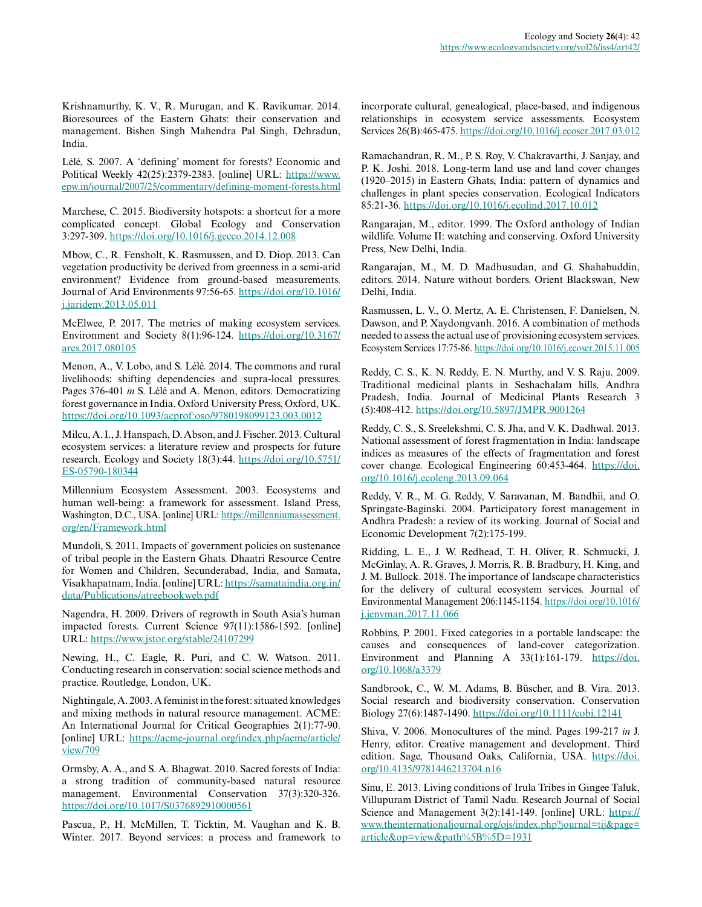Krishnamurthy, K. V., R. Murugan, and K. Ravikumar. 2014. Bioresources of the Eastern Ghats: their conservation and management. Bishen Singh Mahendra Pal Singh, Dehradun, India.

Lélé, S. 2007. A 'defining' moment for forests? Economic and Political Weekly 42(25):2379-2383. [online] URL: [https://www.](https://www.epw.in/journal/2007/25/commentary/defining-moment-forests.html) [epw.in/journal/2007/25/commentary/defining-moment-forests.html](https://www.epw.in/journal/2007/25/commentary/defining-moment-forests.html)

Marchese, C. 2015. Biodiversity hotspots: a shortcut for a more complicated concept. Global Ecology and Conservation 3:297-309. <https://doi.org/10.1016/j.gecco.2014.12.008>

Mbow, C., R. Fensholt, K. Rasmussen, and D. Diop. 2013. Can vegetation productivity be derived from greenness in a semi-arid environment? Evidence from ground-based measurements. Journal of Arid Environments 97:56-65. [https://doi.org/10.1016/](https://doi.org/10.1016/j.jaridenv.2013.05.011) [j.jaridenv.2013.05.011](https://doi.org/10.1016/j.jaridenv.2013.05.011) 

McElwee, P. 2017. The metrics of making ecosystem services. Environment and Society 8(1):96-124. [https://doi.org/10.3167/](https://doi.org/10.3167/ares.2017.080105) [ares.2017.080105](https://doi.org/10.3167/ares.2017.080105) 

Menon, A., V. Lobo, and S. Lélé. 2014. The commons and rural livelihoods: shifting dependencies and supra-local pressures. Pages 376-401 *in* S. Lélé and A. Menon, editors. Democratizing forest governance in India. Oxford University Press, Oxford, UK. <https://doi.org/10.1093/acprof:oso/9780198099123.003.0012>

Milcu, A. I., J. Hanspach, D. Abson, and J. Fischer. 2013. Cultural ecosystem services: a literature review and prospects for future research. Ecology and Society 18(3):44. [https://doi.org/10.5751/](https://doi.org/10.5751/ES-05790-180344) [ES-05790-180344](https://doi.org/10.5751/ES-05790-180344)

Millennium Ecosystem Assessment. 2003. Ecosystems and human well-being: a framework for assessment. Island Press, Washington, D.C., USA. [online] URL: [https://millenniumassessment.](https://millenniumassessment.org/en/Framework.html) [org/en/Framework.html](https://millenniumassessment.org/en/Framework.html)

Mundoli, S. 2011. Impacts of government policies on sustenance of tribal people in the Eastern Ghats. Dhaatri Resource Centre for Women and Children, Secunderabad, India, and Samata, Visakhapatnam, India. [online] URL: [https://samataindia.org.in/](https://samataindia.org.in/data/Publications/atreebookweb.pdf) [data/Publications/atreebookweb.pdf](https://samataindia.org.in/data/Publications/atreebookweb.pdf)

Nagendra, H. 2009. Drivers of regrowth in South Asia's human impacted forests. Current Science 97(11):1586-1592. [online] URL:<https://www.jstor.org/stable/24107299>

Newing, H., C. Eagle, R. Puri, and C. W. Watson. 2011. Conducting research in conservation: social science methods and practice. Routledge, London, UK.

Nightingale, A. 2003. A feminist in the forest: situated knowledges and mixing methods in natural resource management. ACME: An International Journal for Critical Geographies 2(1):77-90. [online] URL: [https://acme-journal.org/index.php/acme/article/](https://acme-journal.org/index.php/acme/article/view/709) [view/709](https://acme-journal.org/index.php/acme/article/view/709)

Ormsby, A. A., and S. A. Bhagwat. 2010. Sacred forests of India: a strong tradition of community-based natural resource management. Environmental Conservation 37(3):320-326. <https://doi.org/10.1017/S0376892910000561>

Pascua, P., H. McMillen, T. Ticktin, M. Vaughan and K. B. Winter. 2017. Beyond services: a process and framework to incorporate cultural, genealogical, place-based, and indigenous relationships in ecosystem service assessments. Ecosystem Services 26(B):465-475.<https://doi.org/10.1016/j.ecoser.2017.03.012>

Ramachandran, R. M., P. S. Roy, V. Chakravarthi, J. Sanjay, and P. K. Joshi. 2018. Long-term land use and land cover changes (1920–2015) in Eastern Ghats, India: pattern of dynamics and challenges in plant species conservation. Ecological Indicators 85:21-36.<https://doi.org/10.1016/j.ecolind.2017.10.012>

Rangarajan, M., editor. 1999. The Oxford anthology of Indian wildlife. Volume II: watching and conserving. Oxford University Press, New Delhi, India.

Rangarajan, M., M. D. Madhusudan, and G. Shahabuddin, editors. 2014. Nature without borders. Orient Blackswan, New Delhi, India.

Rasmussen, L. V., O. Mertz, A. E. Christensen, F. Danielsen, N. Dawson, and P. Xaydongvanh. 2016. A combination of methods needed to assess the actual use of provisioning ecosystem services. Ecosystem Services 17:75-86. <https://doi.org/10.1016/j.ecoser.2015.11.005>

Reddy, C. S., K. N. Reddy, E. N. Murthy, and V. S. Raju. 2009. Traditional medicinal plants in Seshachalam hills, Andhra Pradesh, India. Journal of Medicinal Plants Research 3 (5):408-412. <https://doi.org/10.5897/JMPR.9001264>

Reddy, C. S., S. Sreelekshmi, C. S. Jha, and V. K. Dadhwal. 2013. National assessment of forest fragmentation in India: landscape indices as measures of the effects of fragmentation and forest cover change. Ecological Engineering 60:453-464. [https://doi.](https://doi.org/10.1016/j.ecoleng.2013.09.064) [org/10.1016/j.ecoleng.2013.09.064](https://doi.org/10.1016/j.ecoleng.2013.09.064) 

Reddy, V. R., M. G. Reddy, V. Saravanan, M. Bandhii, and O. Springate-Baginski. 2004. Participatory forest management in Andhra Pradesh: a review of its working. Journal of Social and Economic Development 7(2):175-199.

Ridding, L. E., J. W. Redhead, T. H. Oliver, R. Schmucki, J. McGinlay, A. R. Graves, J. Morris, R. B. Bradbury, H. King, and J. M. Bullock. 2018. The importance of landscape characteristics for the delivery of cultural ecosystem services. Journal of Environmental Management 206:1145-1154. [https://doi.org/10.1016/](https://doi.org/10.1016/j.jenvman.2017.11.066) [j.jenvman.2017.11.066](https://doi.org/10.1016/j.jenvman.2017.11.066)

Robbins, P. 2001. Fixed categories in a portable landscape: the causes and consequences of land-cover categorization. Environment and Planning A 33(1):161-179. [https://doi.](https://doi.org/10.1068/a3379) [org/10.1068/a3379](https://doi.org/10.1068/a3379) 

Sandbrook, C., W. M. Adams, B. Büscher, and B. Vira. 2013. Social research and biodiversity conservation. Conservation Biology 27(6):1487-1490.<https://doi.org/10.1111/cobi.12141>

Shiva, V. 2006. Monocultures of the mind. Pages 199-217 *in* J. Henry, editor. Creative management and development. Third edition. Sage, Thousand Oaks, California, USA. [https://doi.](https://doi.org/10.4135/9781446213704.n16) [org/10.4135/9781446213704.n16](https://doi.org/10.4135/9781446213704.n16)

Sinu, E. 2013. Living conditions of Irula Tribes in Gingee Taluk, Villupuram District of Tamil Nadu. Research Journal of Social Science and Management 3(2):141-149. [online] URL: [https://](https://www.theinternationaljournal.org/ojs/index.php?journal=tij&page=article&op=view&path%5B%5D=1931) [www.theinternationaljournal.org/ojs/index.php?journal=tij&page=](https://www.theinternationaljournal.org/ojs/index.php?journal=tij&page=article&op=view&path%5B%5D=1931) [article&op=view&path%5B%5D=1931](https://www.theinternationaljournal.org/ojs/index.php?journal=tij&page=article&op=view&path%5B%5D=1931)